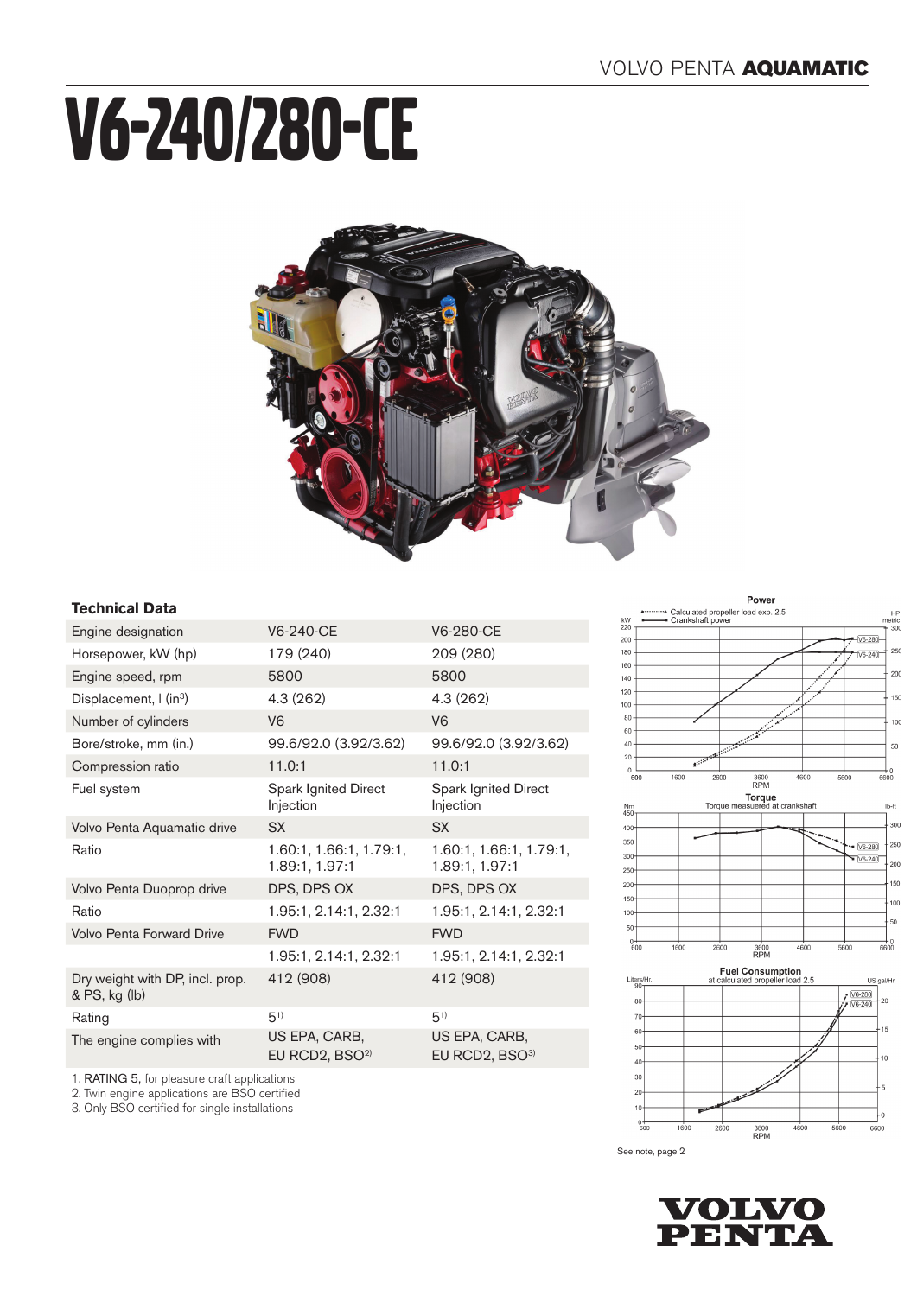# V6-240/280-CE



### **Technical Data**

2. Twin engine applications are BSO certified 3. Only BSO certified for single installations

| Engine designation                               | V6-240-CE                                 | V6-280-CE                                   |
|--------------------------------------------------|-------------------------------------------|---------------------------------------------|
| Horsepower, kW (hp)                              | 179 (240)                                 | 209 (280)                                   |
| Engine speed, rpm                                | 5800                                      | 5800                                        |
| Displacement, I (in <sup>3</sup> )               | 4.3 (262)                                 | 4.3(262)                                    |
| Number of cylinders                              | V <sub>6</sub>                            | V <sub>6</sub>                              |
| Bore/stroke, mm (in.)                            | 99.6/92.0 (3.92/3.62)                     | 99.6/92.0 (3.92/3.62)                       |
| Compression ratio                                | 11.0:1                                    | 11.0:1                                      |
| Fuel system                                      | Spark Ignited Direct<br>Injection         | Spark Ignited Direct<br>Injection           |
| Volvo Penta Aquamatic drive                      | <b>SX</b>                                 | <b>SX</b>                                   |
| Ratio                                            | 1.60:1, 1.66:1, 1.79:1,<br>1.89:1, 1.97:1 | 1.60:1, 1.66:1, 1.79:1,<br>1.89:1, 1.97:1   |
| Volvo Penta Duoprop drive                        | DPS, DPS OX                               | DPS, DPS OX                                 |
| Ratio                                            | 1.95:1, 2.14:1, 2.32:1                    | 1.95:1, 2.14:1, 2.32:1                      |
| <b>Volvo Penta Forward Drive</b>                 | <b>FWD</b>                                | <b>FWD</b>                                  |
|                                                  | 1.95:1, 2.14:1, 2.32:1                    | 1.95:1, 2.14:1, 2.32:1                      |
| Dry weight with DP, incl. prop.<br>& PS, kg (lb) | 412 (908)                                 | 412 (908)                                   |
| Rating                                           | $5^{1}$                                   | $5^{1}$                                     |
| The engine complies with                         | US EPA, CARB,<br>EU RCD2, $BSO2$          | US EPA, CARB,<br>EU RCD2, BSO <sup>3)</sup> |
| 1. RATING 5, for pleasure craft applications     |                                           |                                             |

Power







See note, page 2